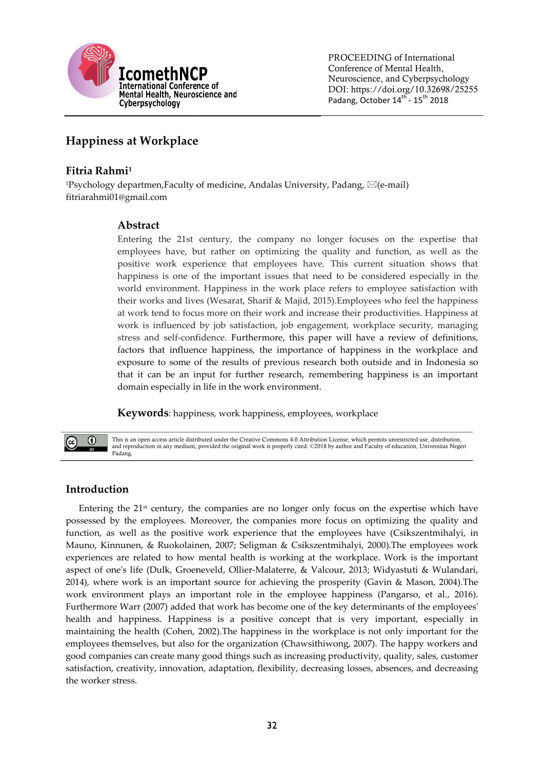

PROCEEDING of International Conference of Mental Health, Neuroscience, and Cyberpsychology DOI: https://doi.org/10.32698/25255 Padang, October 14<sup>th</sup> - 15<sup>th</sup> 2018

# Happiness at Workplace

# Fitria Rahmi<sup>1</sup>

 $^{1}$ Psychology departmen,Faculty of medicine, Andalas University, Padang,  $\boxtimes$ (e-mail) fitriarahmi01@gmail.com

# Abstract

Entering the 21st century, the company no longer focuses on the expertise that employees have, but rather on optimizing the quality and function, as well as the positive work experience that employees have. This current situation shows that happiness is one of the important issues that need to be considered especially in the world environment. Happiness in the work place refers to employee satisfaction with their works and lives (Wesarat, Sharif & Majid, 2015). Employees who feel the happiness at work tend to focus more on their work and increase their productivities. Happiness at at work tend to focus more on their work and increase their productivities. Happiness at work is influenced by job satisfaction, job engagement, workplace security, managing stress and self-confidence. Furthermore, this paper will have a review of definitions, factors that influence happiness, the importance of happiness in the workplace and exposure to some of the results of previous research both outside and in Indonesia so that it can be an input for further research, remembering happiness is an important domain especially in life in the work environment. employees have, but rather on optimizing the quality and function, as well as the positive work experience that employees have. This current situation shows that happiness is one of the important issues that need to be con factors that influence happiness, the importance of happiness in the workplace and exposure to some of the results of previous research both outside and in Indonesia so that it can be an input for further research, remembe e-mail)<br>on the<br>unction,<br>at situat<br>idered<br>ployee<br>s who fe<br>ductiviti<br>lace sec

Keywords: happiness, work happiness, employees, workplace



This is an open access article distributed under the Creative Commons 4.0 Attribution License, which permits unrestricted use, distribution, This is an open access article distributed under the Creative Commons 4.0 Attribution License, which permits unrestricted use, distribution,<br>and reproduction in any medium, provided the original work is properly cited. ©20 Padang.

# Introduction

Entering the  $21<sup>st</sup>$  century, the companies are no longer only focus on the expertise which have possessed by the employees. Moreover, the companies more focus on optimizing the quality and function, as well as the positive work experience that the employees have (Csikszentmi (Csikszentmihalyi, in Mauno, Kinnunen, & Ruokolainen, 2007; Seligman & Csikszentmihalyi, 2000).The employees work experiences are related to how mental health is working at the workplace. Work is the important Entering the 21<sup>st</sup> century, the companies are no longer only focus on the expertise which have possessed by the employees. Moreover, the companies more focus on optimizing the quality and function, as well as the positiv 2014), where work is an important source for achieving the prosperity (Gavin & Mason, 2004).The work environment plays an important role in the employee happiness (Pangarso, et al., 2016). Furthermore Warr (2007) added that work has become one of the key determinants of the employees' health and happiness. Happiness is a positive concept that is very important, especially in maintaining the health (Cohen, 2002). The happiness in the workplace is not only important for the employees themselves, but also for the organization (Chawsithiwong, 2007). The happy workers and good companies can create many good things such as increasing productivity, quality, sales, customer satisfaction, creativity, innovation, adaptation, fle xibility, the worker stress. 2014), where work is an important source for achieving the prosperity (Gavin & Mason, 2004).The<br>work environment plays an important role in the employee happiness (Pangarso, et al., 2016).<br>Furthermore Warr (2007) added tha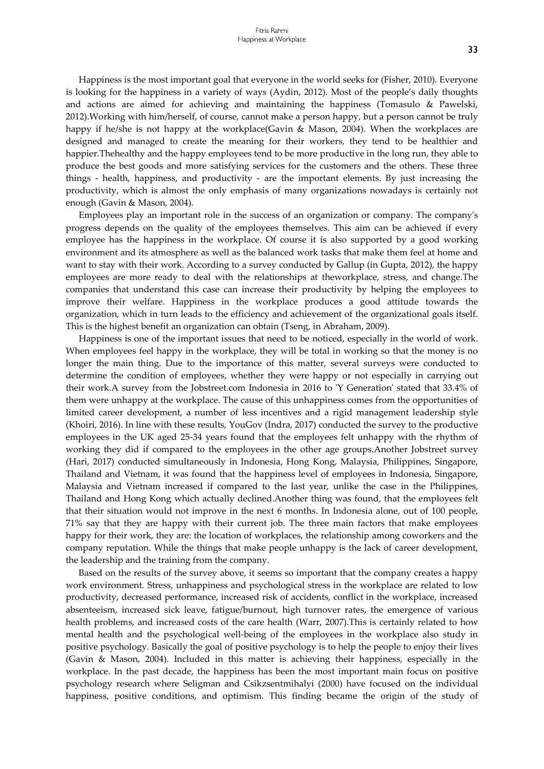Happiness is the most important goal that everyone in the world seeks for (Fisher, 2010). Everyone is looking for the happiness in a variety of ways (Aydin, 2012). Most of the people's daily thoughts and actions are aimed for achieving and maintaining the happiness (Tomasulo & Pawelski, 2012).Working with him/herself, of course, cannot make a person happy, but a person cannot be truly happy if he/she is not happy at the workplace(Gavin & Mason, 2004). When the workplaces are designed and managed to create the meaning for their workers, they tend to be healthier and happier.Thehealthy and the happy employees tend to be more productive in the long run, they able to produce the best goods and more satisfying services for the customers and the others. These three things - health, happiness, and productivity - are the important elements. By just increasing the productivity, which is almost the only emphasis of many organizations nowadays is certainly not enough (Gavin & Mason, 2004).

Employees play an important role in the success of an organization or company. The company's progress depends on the quality of the employees themselves. This aim can be achieved if every employee has the happiness in the workplace. Of course it is also supported by a good working environment and its atmosphere as well as the balanced work tasks that make them feel at home and want to stay with their work. According to a survey conducted by Gallup (in Gupta, 2012), the happy employees are more ready to deal with the relationships at theworkplace, stress, and change.The companies that understand this case can increase their productivity by helping the employees to improve their welfare. Happiness in the workplace produces a good attitude towards the organization, which in turn leads to the efficiency and achievement of the organizational goals itself. This is the highest benefit an organization can obtain (Tseng, in Abraham, 2009).

Happiness is one of the important issues that need to be noticed, especially in the world of work. When employees feel happy in the workplace, they will be total in working so that the money is no longer the main thing. Due to the importance of this matter, several surveys were conducted to determine the condition of employees, whether they were happy or not especially in carrying out their work.A survey from the Jobstreet.com Indonesia in 2016 to 'Y Generation' stated that 33.4% of them were unhappy at the workplace. The cause of this unhappiness comes from the opportunities of limited career development, a number of less incentives and a rigid management leadership style (Khoiri, 2016). In line with these results, YouGov (Indra, 2017) conducted the survey to the productive employees in the UK aged 25-34 years found that the employees felt unhappy with the rhythm of working they did if compared to the employees in the other age groups.Another Jobstreet survey (Hari, 2017) conducted simultaneously in Indonesia, Hong Kong, Malaysia, Philippines, Singapore, Thailand and Vietnam, it was found that the happiness level of employees in Indonesia, Singapore, Malaysia and Vietnam increased if compared to the last year, unlike the case in the Philippines, Thailand and Hong Kong which actually declined.Another thing was found, that the employees felt that their situation would not improve in the next 6 months. In Indonesia alone, out of 100 people, 71% say that they are happy with their current job. The three main factors that make employees happy for their work, they are: the location of workplaces, the relationship among coworkers and the company reputation. While the things that make people unhappy is the lack of career development, the leadership and the training from the company.

Based on the results of the survey above, it seems so important that the company creates a happy work environment. Stress, unhappiness and psychological stress in the workplace are related to low productivity, decreased performance, increased risk of accidents, conflict in the workplace, increased absenteeism, increased sick leave, fatigue/burnout, high turnover rates, the emergence of various health problems, and increased costs of the care health (Warr, 2007).This is certainly related to how mental health and the psychological well-being of the employees in the workplace also study in positive psychology. Basically the goal of positive psychology is to help the people to enjoy their lives (Gavin & Mason, 2004). Included in this matter is achieving their happiness, especially in the workplace. In the past decade, the happiness has been the most important main focus on positive psychology research where Seligman and Csikzsentmihalyi (2000) have focused on the individual happiness, positive conditions, and optimism. This finding became the origin of the study of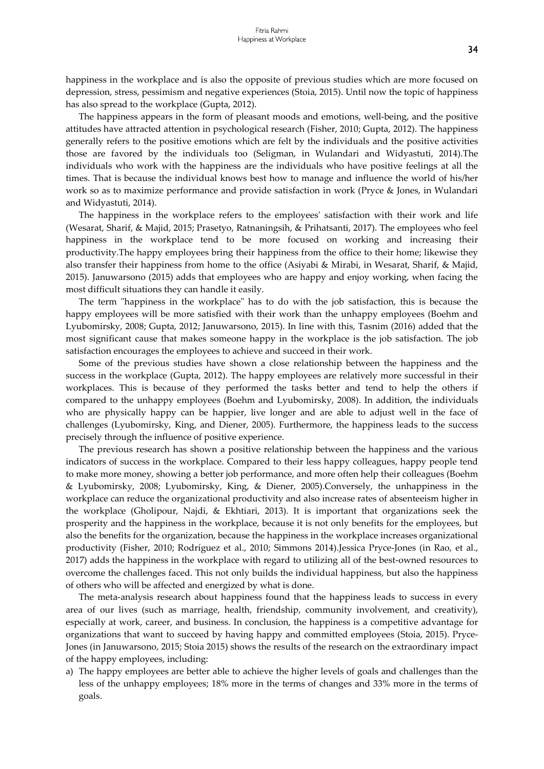happiness in the workplace and is also the opposite of previous studies which are more focused on depression, stress, pessimism and negative experiences (Stoia, 2015). Until now the topic of happiness has also spread to the workplace (Gupta, 2012).

The happiness appears in the form of pleasant moods and emotions, well-being, and the positive attitudes have attracted attention in psychological research (Fisher, 2010; Gupta, 2012). The happiness generally refers to the positive emotions which are felt by the individuals and the positive activities those are favored by the individuals too (Seligman, in Wulandari and Widyastuti, 2014).The individuals who work with the happiness are the individuals who have positive feelings at all the times. That is because the individual knows best how to manage and influence the world of his/her work so as to maximize performance and provide satisfaction in work (Pryce & Jones, in Wulandari and Widyastuti, 2014).

The happiness in the workplace refers to the employees' satisfaction with their work and life (Wesarat, Sharif, & Majid, 2015; Prasetyo, Ratnaningsih, & Prihatsanti, 2017). The employees who feel happiness in the workplace tend to be more focused on working and increasing their productivity.The happy employees bring their happiness from the office to their home; likewise they also transfer their happiness from home to the office (Asiyabi & Mirabi, in Wesarat, Sharif, & Majid, 2015). Januwarsono (2015) adds that employees who are happy and enjoy working, when facing the most difficult situations they can handle it easily.

The term "happiness in the workplace" has to do with the job satisfaction, this is because the happy employees will be more satisfied with their work than the unhappy employees (Boehm and Lyubomirsky, 2008; Gupta, 2012; Januwarsono, 2015). In line with this, Tasnim (2016) added that the most significant cause that makes someone happy in the workplace is the job satisfaction. The job satisfaction encourages the employees to achieve and succeed in their work.

Some of the previous studies have shown a close relationship between the happiness and the success in the workplace (Gupta, 2012). The happy employees are relatively more successful in their workplaces. This is because of they performed the tasks better and tend to help the others if compared to the unhappy employees (Boehm and Lyubomirsky, 2008). In addition, the individuals who are physically happy can be happier, live longer and are able to adjust well in the face of challenges (Lyubomirsky, King, and Diener, 2005). Furthermore, the happiness leads to the success precisely through the influence of positive experience.

The previous research has shown a positive relationship between the happiness and the various indicators of success in the workplace. Compared to their less happy colleagues, happy people tend to make more money, showing a better job performance, and more often help their colleagues (Boehm & Lyubomirsky, 2008; Lyubomirsky, King, & Diener, 2005).Conversely, the unhappiness in the workplace can reduce the organizational productivity and also increase rates of absenteeism higher in the workplace (Gholipour, Najdi, & Ekhtiari, 2013). It is important that organizations seek the prosperity and the happiness in the workplace, because it is not only benefits for the employees, but also the benefits for the organization, because the happiness in the workplace increases organizational productivity (Fisher, 2010; Rodríguez et al., 2010; Simmons 2014).Jessica Pryce-Jones (in Rao, et al., 2017) adds the happiness in the workplace with regard to utilizing all of the best-owned resources to overcome the challenges faced. This not only builds the individual happiness, but also the happiness of others who will be affected and energized by what is done.

The meta-analysis research about happiness found that the happiness leads to success in every area of our lives (such as marriage, health, friendship, community involvement, and creativity), especially at work, career, and business. In conclusion, the happiness is a competitive advantage for organizations that want to succeed by having happy and committed employees (Stoia, 2015). Pryce-Jones (in Januwarsono, 2015; Stoia 2015) shows the results of the research on the extraordinary impact of the happy employees, including:

a) The happy employees are better able to achieve the higher levels of goals and challenges than the less of the unhappy employees; 18% more in the terms of changes and 33% more in the terms of goals.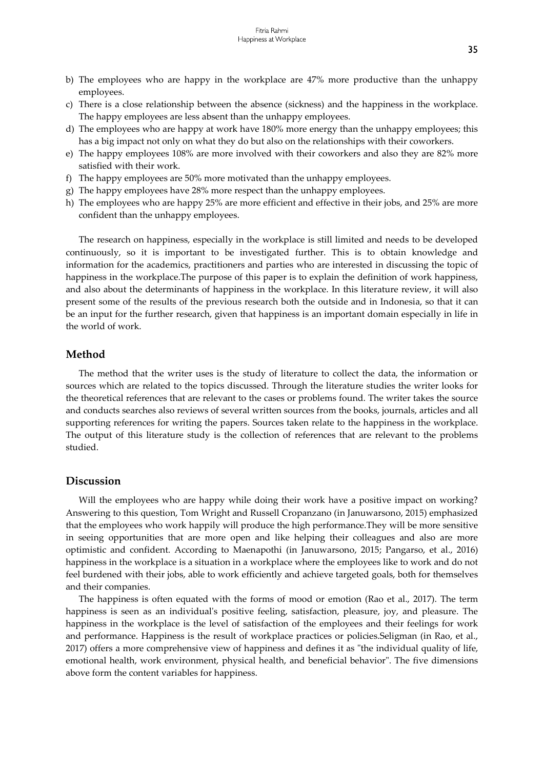- b) The employees who are happy in the workplace are 47% more productive than the unhappy employees.
- c) There is a close relationship between the absence (sickness) and the happiness in the workplace. The happy employees are less absent than the unhappy employees.
- d) The employees who are happy at work have 180% more energy than the unhappy employees; this has a big impact not only on what they do but also on the relationships with their coworkers.
- e) The happy employees 108% are more involved with their coworkers and also they are 82% more satisfied with their work.
- f) The happy employees are 50% more motivated than the unhappy employees.
- g) The happy employees have 28% more respect than the unhappy employees.
- h) The employees who are happy 25% are more efficient and effective in their jobs, and 25% are more confident than the unhappy employees.

The research on happiness, especially in the workplace is still limited and needs to be developed continuously, so it is important to be investigated further. This is to obtain knowledge and information for the academics, practitioners and parties who are interested in discussing the topic of happiness in the workplace.The purpose of this paper is to explain the definition of work happiness, and also about the determinants of happiness in the workplace. In this literature review, it will also present some of the results of the previous research both the outside and in Indonesia, so that it can be an input for the further research, given that happiness is an important domain especially in life in the world of work.

### Method

The method that the writer uses is the study of literature to collect the data, the information or sources which are related to the topics discussed. Through the literature studies the writer looks for the theoretical references that are relevant to the cases or problems found. The writer takes the source and conducts searches also reviews of several written sources from the books, journals, articles and all supporting references for writing the papers. Sources taken relate to the happiness in the workplace. The output of this literature study is the collection of references that are relevant to the problems studied.

#### Discussion

Will the employees who are happy while doing their work have a positive impact on working? Answering to this question, Tom Wright and Russell Cropanzano (in Januwarsono, 2015) emphasized that the employees who work happily will produce the high performance.They will be more sensitive in seeing opportunities that are more open and like helping their colleagues and also are more optimistic and confident. According to Maenapothi (in Januwarsono, 2015; Pangarso, et al., 2016) happiness in the workplace is a situation in a workplace where the employees like to work and do not feel burdened with their jobs, able to work efficiently and achieve targeted goals, both for themselves and their companies.

The happiness is often equated with the forms of mood or emotion (Rao et al., 2017). The term happiness is seen as an individual's positive feeling, satisfaction, pleasure, joy, and pleasure. The happiness in the workplace is the level of satisfaction of the employees and their feelings for work and performance. Happiness is the result of workplace practices or policies.Seligman (in Rao, et al., 2017) offers a more comprehensive view of happiness and defines it as "the individual quality of life, emotional health, work environment, physical health, and beneficial behavior". The five dimensions above form the content variables for happiness.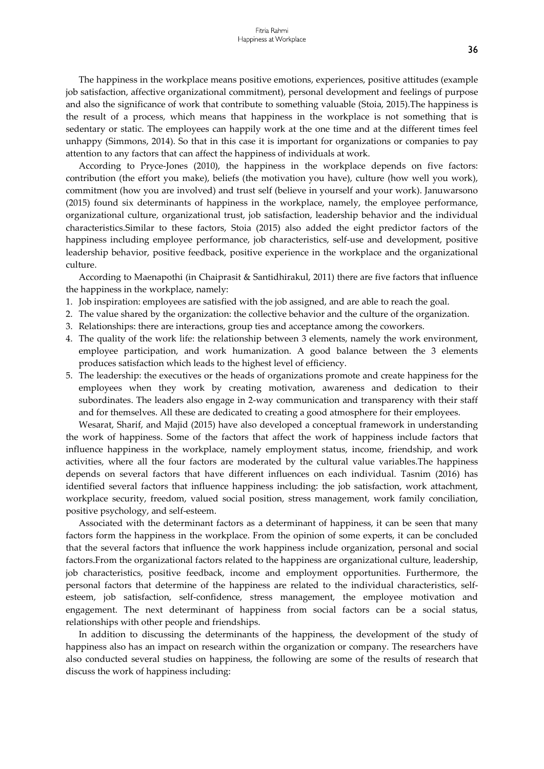The happiness in the workplace means positive emotions, experiences, positive attitudes (example job satisfaction, affective organizational commitment), personal development and feelings of purpose and also the significance of work that contribute to something valuable (Stoia, 2015).The happiness is the result of a process, which means that happiness in the workplace is not something that is sedentary or static. The employees can happily work at the one time and at the different times feel unhappy (Simmons, 2014). So that in this case it is important for organizations or companies to pay attention to any factors that can affect the happiness of individuals at work.

According to Pryce-Jones (2010), the happiness in the workplace depends on five factors: contribution (the effort you make), beliefs (the motivation you have), culture (how well you work), commitment (how you are involved) and trust self (believe in yourself and your work). Januwarsono (2015) found six determinants of happiness in the workplace, namely, the employee performance, organizational culture, organizational trust, job satisfaction, leadership behavior and the individual characteristics.Similar to these factors, Stoia (2015) also added the eight predictor factors of the happiness including employee performance, job characteristics, self-use and development, positive leadership behavior, positive feedback, positive experience in the workplace and the organizational culture.

According to Maenapothi (in Chaiprasit & Santidhirakul, 2011) there are five factors that influence the happiness in the workplace, namely:

- 1. Job inspiration: employees are satisfied with the job assigned, and are able to reach the goal.
- 2. The value shared by the organization: the collective behavior and the culture of the organization.
- 3. Relationships: there are interactions, group ties and acceptance among the coworkers.
- 4. The quality of the work life: the relationship between 3 elements, namely the work environment, employee participation, and work humanization. A good balance between the 3 elements produces satisfaction which leads to the highest level of efficiency.
- 5. The leadership: the executives or the heads of organizations promote and create happiness for the employees when they work by creating motivation, awareness and dedication to their subordinates. The leaders also engage in 2-way communication and transparency with their staff and for themselves. All these are dedicated to creating a good atmosphere for their employees.

Wesarat, Sharif, and Majid (2015) have also developed a conceptual framework in understanding the work of happiness. Some of the factors that affect the work of happiness include factors that influence happiness in the workplace, namely employment status, income, friendship, and work activities, where all the four factors are moderated by the cultural value variables.The happiness depends on several factors that have different influences on each individual. Tasnim (2016) has identified several factors that influence happiness including: the job satisfaction, work attachment, workplace security, freedom, valued social position, stress management, work family conciliation, positive psychology, and self-esteem.

Associated with the determinant factors as a determinant of happiness, it can be seen that many factors form the happiness in the workplace. From the opinion of some experts, it can be concluded that the several factors that influence the work happiness include organization, personal and social factors.From the organizational factors related to the happiness are organizational culture, leadership, job characteristics, positive feedback, income and employment opportunities. Furthermore, the personal factors that determine of the happiness are related to the individual characteristics, selfesteem, job satisfaction, self-confidence, stress management, the employee motivation and engagement. The next determinant of happiness from social factors can be a social status, relationships with other people and friendships.

In addition to discussing the determinants of the happiness, the development of the study of happiness also has an impact on research within the organization or company. The researchers have also conducted several studies on happiness, the following are some of the results of research that discuss the work of happiness including: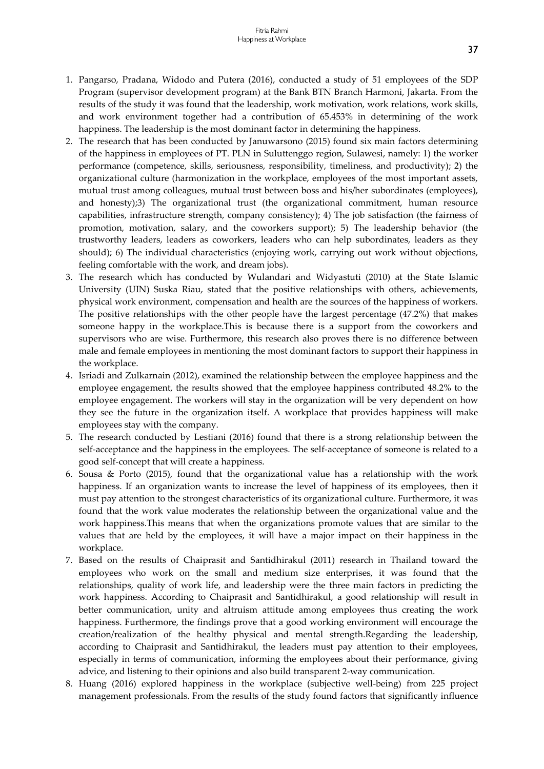- 1. Pangarso, Pradana, Widodo and Putera (2016), conducted a study of 51 employees of the SDP Program (supervisor development program) at the Bank BTN Branch Harmoni, Jakarta. From the results of the study it was found that the leadership, work motivation, work relations, work skills, and work environment together had a contribution of 65.453% in determining of the work happiness. The leadership is the most dominant factor in determining the happiness.
- 2. The research that has been conducted by Januwarsono (2015) found six main factors determining of the happiness in employees of PT. PLN in Suluttenggo region, Sulawesi, namely: 1) the worker performance (competence, skills, seriousness, responsibility, timeliness, and productivity); 2) the organizational culture (harmonization in the workplace, employees of the most important assets, mutual trust among colleagues, mutual trust between boss and his/her subordinates (employees), and honesty);3) The organizational trust (the organizational commitment, human resource capabilities, infrastructure strength, company consistency); 4) The job satisfaction (the fairness of promotion, motivation, salary, and the coworkers support); 5) The leadership behavior (the trustworthy leaders, leaders as coworkers, leaders who can help subordinates, leaders as they should); 6) The individual characteristics (enjoying work, carrying out work without objections, feeling comfortable with the work, and dream jobs).
- 3. The research which has conducted by Wulandari and Widyastuti (2010) at the State Islamic University (UIN) Suska Riau, stated that the positive relationships with others, achievements, physical work environment, compensation and health are the sources of the happiness of workers. The positive relationships with the other people have the largest percentage (47.2%) that makes someone happy in the workplace.This is because there is a support from the coworkers and supervisors who are wise. Furthermore, this research also proves there is no difference between male and female employees in mentioning the most dominant factors to support their happiness in the workplace.
- 4. Isriadi and Zulkarnain (2012), examined the relationship between the employee happiness and the employee engagement, the results showed that the employee happiness contributed 48.2% to the employee engagement. The workers will stay in the organization will be very dependent on how they see the future in the organization itself. A workplace that provides happiness will make employees stay with the company.
- 5. The research conducted by Lestiani (2016) found that there is a strong relationship between the self-acceptance and the happiness in the employees. The self-acceptance of someone is related to a good self-concept that will create a happiness.
- 6. Sousa & Porto (2015), found that the organizational value has a relationship with the work happiness. If an organization wants to increase the level of happiness of its employees, then it must pay attention to the strongest characteristics of its organizational culture. Furthermore, it was found that the work value moderates the relationship between the organizational value and the work happiness.This means that when the organizations promote values that are similar to the values that are held by the employees, it will have a major impact on their happiness in the workplace.
- 7. Based on the results of Chaiprasit and Santidhirakul (2011) research in Thailand toward the employees who work on the small and medium size enterprises, it was found that the relationships, quality of work life, and leadership were the three main factors in predicting the work happiness. According to Chaiprasit and Santidhirakul, a good relationship will result in better communication, unity and altruism attitude among employees thus creating the work happiness. Furthermore, the findings prove that a good working environment will encourage the creation/realization of the healthy physical and mental strength.Regarding the leadership, according to Chaiprasit and Santidhirakul, the leaders must pay attention to their employees, especially in terms of communication, informing the employees about their performance, giving advice, and listening to their opinions and also build transparent 2-way communication.
- 8. Huang (2016) explored happiness in the workplace (subjective well-being) from 225 project management professionals. From the results of the study found factors that significantly influence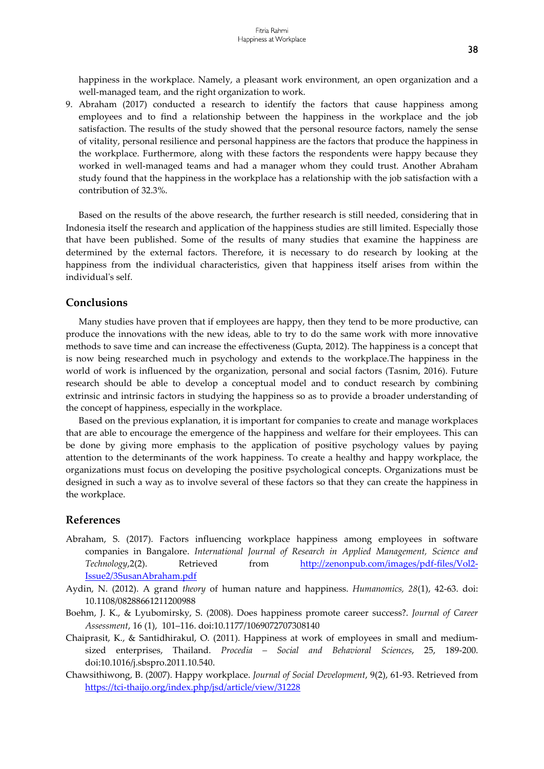happiness in the workplace. Namely, a pleasant work environment, an open organization and a well-managed team, and the right organization to work.

9. Abraham (2017) conducted a research to identify the factors that cause happiness among employees and to find a relationship between the happiness in the workplace and the job satisfaction. The results of the study showed that the personal resource factors, namely the sense of vitality, personal resilience and personal happiness are the factors that produce the happiness in the workplace. Furthermore, along with these factors the respondents were happy because they worked in well-managed teams and had a manager whom they could trust. Another Abraham study found that the happiness in the workplace has a relationship with the job satisfaction with a contribution of 32.3%.

Based on the results of the above research, the further research is still needed, considering that in Indonesia itself the research and application of the happiness studies are still limited. Especially those that have been published. Some of the results of many studies that examine the happiness are determined by the external factors. Therefore, it is necessary to do research by looking at the happiness from the individual characteristics, given that happiness itself arises from within the individual's self.

### Conclusions

Many studies have proven that if employees are happy, then they tend to be more productive, can produce the innovations with the new ideas, able to try to do the same work with more innovative methods to save time and can increase the effectiveness (Gupta, 2012). The happiness is a concept that is now being researched much in psychology and extends to the workplace.The happiness in the world of work is influenced by the organization, personal and social factors (Tasnim, 2016). Future research should be able to develop a conceptual model and to conduct research by combining extrinsic and intrinsic factors in studying the happiness so as to provide a broader understanding of the concept of happiness, especially in the workplace.

Based on the previous explanation, it is important for companies to create and manage workplaces that are able to encourage the emergence of the happiness and welfare for their employees. This can be done by giving more emphasis to the application of positive psychology values by paying attention to the determinants of the work happiness. To create a healthy and happy workplace, the organizations must focus on developing the positive psychological concepts. Organizations must be designed in such a way as to involve several of these factors so that they can create the happiness in the workplace.

#### References

- Abraham, S. (2017). Factors influencing workplace happiness among employees in software companies in Bangalore. International Journal of Research in Applied Management, Science and Technology, 2(2). Retrieved from http://zenonpub.com/images/pdf-files/Vol2-Issue2/3SusanAbraham.pdf
- Aydin, N. (2012). A grand theory of human nature and happiness. Humanomics, 28(1), 42-63. doi: 10.1108/08288661211200988
- Boehm, J. K., & Lyubomirsky, S. (2008). Does happiness promote career success?. Journal of Career Assessment, 16 (1), 101–116. doi:10.1177/1069072707308140
- Chaiprasit, K., & Santidhirakul, O. (2011). Happiness at work of employees in small and mediumsized enterprises, Thailand. Procedia – Social and Behavioral Sciences, 25, 189-200. doi:10.1016/j.sbspro.2011.10.540.
- Chawsithiwong, B. (2007). Happy workplace. Journal of Social Development, 9(2), 61-93. Retrieved from https://tci-thaijo.org/index.php/jsd/article/view/31228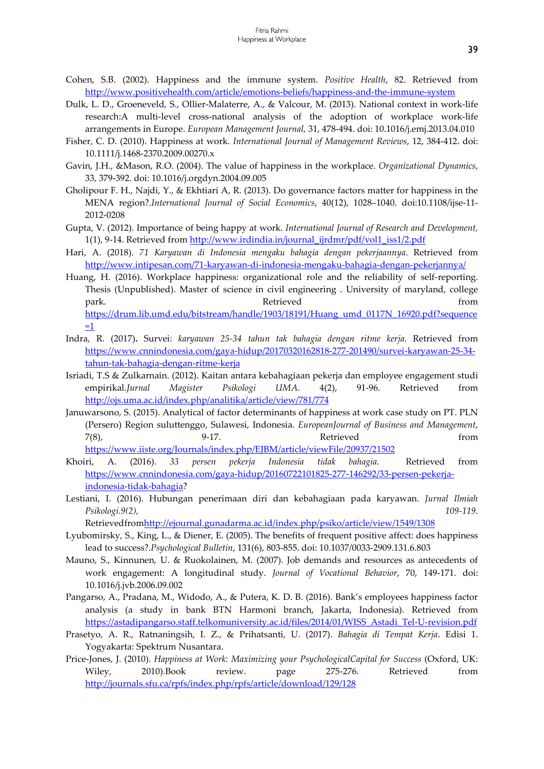- Cohen, S.B. (2002). Happiness and the immune system. Positive Health, 82. Retrieved from http://www.positivehealth.com/article/emotions-beliefs/happiness-and-the-immune-system
- Dulk, L. D., Groeneveld, S., Ollier-Malaterre, A., & Valcour, M. (2013). National context in work-life research:A multi-level cross-national analysis of the adoption of workplace work-life arrangements in Europe. European Management Journal, 31, 478-494. doi: 10.1016/j.emj.2013.04.010
- Fisher, C. D. (2010). Happiness at work. International Journal of Management Reviews, 12, 384-412. doi: 10.1111/j.1468-2370.2009.00270.x
- Gavin, J.H., &Mason, R.O. (2004). The value of happiness in the workplace. Organizational Dynamics, 33, 379-392. doi: 10.1016/j.orgdyn.2004.09.005
- Gholipour F. H., Najdi, Y., & Ekhtiari A, R. (2013). Do governance factors matter for happiness in the MENA region?.International Journal of Social Economics, 40(12), 1028–1040. doi:10.1108/ijse-11- 2012-0208
- Gupta, V. (2012). Importance of being happy at work. International Journal of Research and Development, 1(1), 9-14. Retrieved from http://www.irdindia.in/journal\_ijrdmr/pdf/vol1\_iss1/2.pdf
- Hari, A. (2018). 71 Karyawan di Indonesia mengaku bahagia dengan pekerjaannya. Retrieved from http://www.intipesan.com/71-karyawan-di-indonesia-mengaku-bahagia-dengan-pekerjannya/
- Huang, H. (2016). Workplace happiness: organizational role and the reliability of self-reporting. Thesis (Unpublished). Master of science in civil engineering . University of maryland, college park. Retrieved from https://drum.lib.umd.edu/bitstream/handle/1903/18191/Huang\_umd\_0117N\_16920.pdf?sequence  $=1$
- Indra, R. (2017). Survei: karyawan 25-34 tahun tak bahagia dengan ritme kerja. Retrieved from https://www.cnnindonesia.com/gaya-hidup/20170320162818-277-201490/survei-karyawan-25-34 tahun-tak-bahagia-dengan-ritme-kerja
- Isriadi, T.S & Zulkarnain. (2012). Kaitan antara kebahagiaan pekerja dan employee engagement studi empirikal.Jurnal Magister Psikologi UMA. 4(2), 91-96. Retrieved from http://ojs.uma.ac.id/index.php/analitika/article/view/781/774
- Januwarsono, S. (2015). Analytical of factor determinants of happiness at work case study on PT. PLN (Persero) Region suluttenggo, Sulawesi, Indonesia. EuropeanJournal of Business and Management, 7(8), 9-17. Retrieved from https://www.iiste.org/Journals/index.php/EJBM/article/viewFile/20937/21502
- Khoiri, A. (2016). 33 persen pekerja Indonesia tidak bahagia. Retrieved from https://www.cnnindonesia.com/gaya-hidup/20160722101825-277-146292/33-persen-pekerjaindonesia-tidak-bahagia?
- Lestiani, I. (2016). Hubungan penerimaan diri dan kebahagiaan pada karyawan. Jurnal Ilmiah Psikologi.9(2), 109-119.

Retrievedfromhttp://ejournal.gunadarma.ac.id/index.php/psiko/article/view/1549/1308

- Lyubomirsky, S., King, L., & Diener, E. (2005). The benefits of frequent positive affect: does happiness lead to success?.Psychological Bulletin, 131(6), 803-855. doi: 10.1037/0033-2909.131.6.803
- Mauno, S., Kinnunen, U. & Ruokolainen, M. (2007). Job demands and resources as antecedents of work engagement: A longitudinal study. Journal of Vocational Behavior, 70, 149-171. doi: 10.1016/j.jvb.2006.09.002
- Pangarso, A., Pradana, M., Widodo, A., & Putera, K. D. B. (2016). Bank's employees happiness factor analysis (a study in bank BTN Harmoni branch, Jakarta, Indonesia). Retrieved from https://astadipangarso.staff.telkomuniversity.ac.id/files/2014/01/WISS\_Astadi\_Tel-U-revision.pdf
- Prasetyo, A. R., Ratnaningsih, I. Z., & Prihatsanti, U. (2017). Bahagia di Tempat Kerja. Edisi 1. Yogyakarta: Spektrum Nusantara.
- Price-Jones, J. (2010). Happiness at Work: Maximizing your PsychologicalCapital for Success (Oxford, UK: Wiley, 2010).Book review. page 275-276. Retrieved from http://journals.sfu.ca/rpfs/index.php/rpfs/article/download/129/128